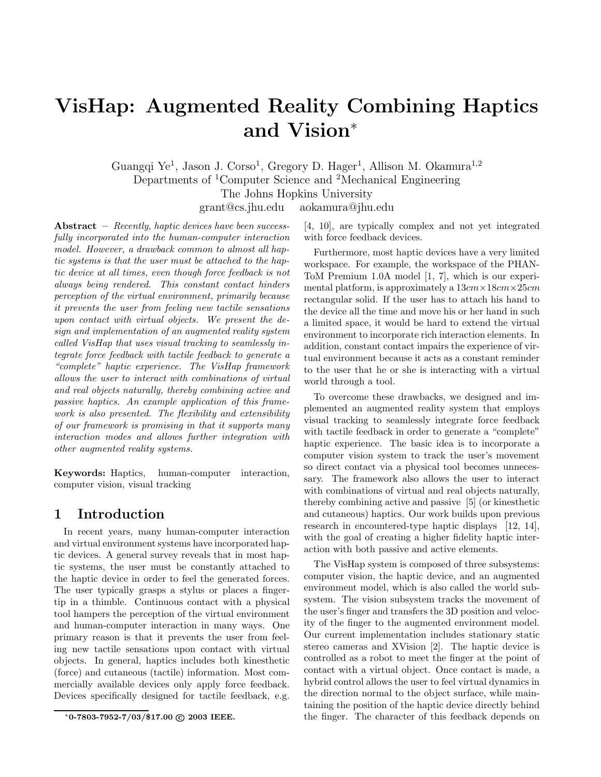# VisHap: Augmented Reality Combining Haptics and Vision<sup>∗</sup>

Guangqi Ye<sup>1</sup>, Jason J. Corso<sup>1</sup>, Gregory D. Hager<sup>1</sup>, Allison M. Okamura<sup>1,2</sup> Departments of <sup>1</sup>Computer Science and <sup>2</sup>Mechanical Engineering The Johns Hopkins University

grant@cs.jhu.edu aokamura@jhu.edu

Abstract – Recently, haptic devices have been successfully incorporated into the human-computer interaction model. However, a drawback common to almost all haptic systems is that the user must be attached to the haptic device at all times, even though force feedback is not always being rendered. This constant contact hinders perception of the virtual environment, primarily because it prevents the user from feeling new tactile sensations upon contact with virtual objects. We present the design and implementation of an augmented reality system called VisHap that uses visual tracking to seamlessly integrate force feedback with tactile feedback to generate a "complete" haptic experience. The VisHap framework allows the user to interact with combinations of virtual and real objects naturally, thereby combining active and passive haptics. An example application of this framework is also presented. The flexibility and extensibility of our framework is promising in that it supports many interaction modes and allows further integration with other augmented reality systems.

Keywords: Haptics, human-computer interaction, computer vision, visual tracking

# 1 Introduction

In recent years, many human-computer interaction and virtual environment systems have incorporated haptic devices. A general survey reveals that in most haptic systems, the user must be constantly attached to the haptic device in order to feel the generated forces. The user typically grasps a stylus or places a fingertip in a thimble. Continuous contact with a physical tool hampers the perception of the virtual environment and human-computer interaction in many ways. One primary reason is that it prevents the user from feeling new tactile sensations upon contact with virtual objects. In general, haptics includes both kinesthetic (force) and cutaneous (tactile) information. Most commercially available devices only apply force feedback. Devices specifically designed for tactile feedback, e.g.

[4, 10], are typically complex and not yet integrated with force feedback devices.

Furthermore, most haptic devices have a very limited workspace. For example, the workspace of the PHAN-ToM Premium 1.0A model [1, 7], which is our experimental platform, is approximately a  $13cm \times 18cm \times 25cm$ rectangular solid. If the user has to attach his hand to the device all the time and move his or her hand in such a limited space, it would be hard to extend the virtual environment to incorporate rich interaction elements. In addition, constant contact impairs the experience of virtual environment because it acts as a constant reminder to the user that he or she is interacting with a virtual world through a tool.

To overcome these drawbacks, we designed and implemented an augmented reality system that employs visual tracking to seamlessly integrate force feedback with tactile feedback in order to generate a "complete" haptic experience. The basic idea is to incorporate a computer vision system to track the user's movement so direct contact via a physical tool becomes unnecessary. The framework also allows the user to interact with combinations of virtual and real objects naturally, thereby combining active and passive [5] (or kinesthetic and cutaneous) haptics. Our work builds upon previous research in encountered-type haptic displays [12, 14], with the goal of creating a higher fidelity haptic interaction with both passive and active elements.

The VisHap system is composed of three subsystems: computer vision, the haptic device, and an augmented environment model, which is also called the world subsystem. The vision subsystem tracks the movement of the user's finger and transfers the 3D position and velocity of the finger to the augmented environment model. Our current implementation includes stationary static stereo cameras and XVision [2]. The haptic device is controlled as a robot to meet the finger at the point of contact with a virtual object. Once contact is made, a hybrid control allows the user to feel virtual dynamics in the direction normal to the object surface, while maintaining the position of the haptic device directly behind the finger. The character of this feedback depends on

 $*0$ -7803-7952-7/03/\$17.00  $\odot$  2003 IEEE.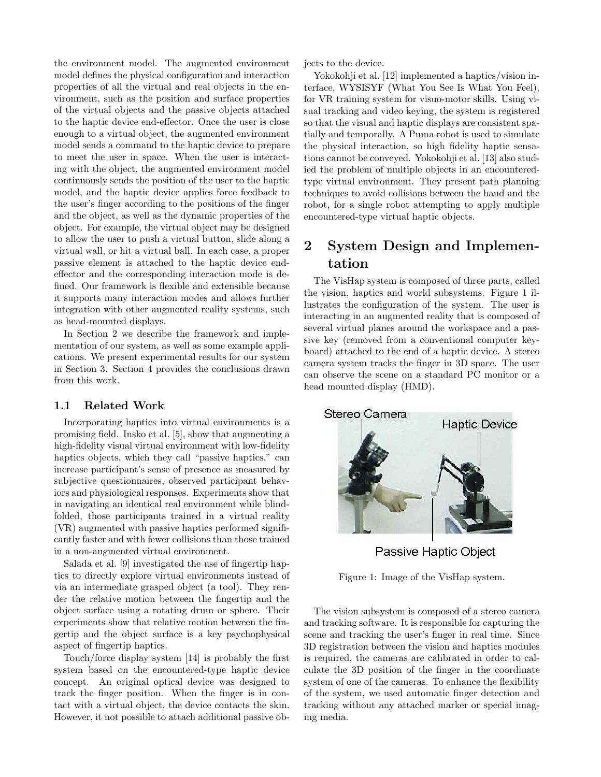the environment model. The augmented environment model defines the physical configuration and interaction properties of all the virtual and real objects in the environment, such as the position and surface properties of the virtual objects and the passive objects attached to the haptic device end-effector. Once the user is close enough to a virtual object, the augmented environment model sends a command to the haptic device to prepare to meet the user in space. When the user is interacting with the object, the augmented environment model continuously sends the position of the user to the haptic model, and the haptic device applies force feedback to the user's finger according to the positions of the finger and the object, as well as the dynamic properties of the object. For example, the virtual object may be designed to allow the user to push a virtual button, slide along a virtual wall, or hit a virtual ball. In each case, a proper passive element is attached to the haptic device endeffector and the corresponding interaction mode is defined. Our framework is flexible and extensible because it supports many interaction modes and allows further integration with other augmented reality systems, such as head-mounted displays.

In Section 2 we describe the framework and implementation of our system, as well as some example applications. We present experimental results for our system in Section 3. Section 4 provides the conclusions drawn from this work.

#### 1.1 Related Work

Incorporating haptics into virtual environments is a promising field. Insko et al. [5], show that augmenting a high-fidelity visual virtual environment with low-fidelity haptics objects, which they call "passive haptics," can increase participant's sense of presence as measured by subjective questionnaires, observed participant behaviors and physiological responses. Experiments show that in navigating an identical real environment while blindfolded, those participants trained in a virtual reality (VR) augmented with passive haptics performed significantly faster and with fewer collisions than those trained in a non-augmented virtual environment.

Salada et al. [9] investigated the use of fingertip haptics to directly explore virtual environments instead of via an intermediate grasped object (a tool). They render the relative motion between the fingertip and the object surface using a rotating drum or sphere. Their experiments show that relative motion between the fingertip and the object surface is a key psychophysical aspect of fingertip haptics.

Touch/force display system [14] is probably the first system based on the encountered-type haptic device concept. An original optical device was designed to track the finger position. When the finger is in contact with a virtual object, the device contacts the skin. However, it not possible to attach additional passive objects to the device.

Yokokohji et al. [12] implemented a haptics/vision interface, WYSISYF (What You See Is What You Feel), for VR training system for visuo-motor skills. Using visual tracking and video keying, the system is registered so that the visual and haptic displays are consistent spatially and temporally. A Puma robot is used to simulate the physical interaction, so high fidelity haptic sensations cannot be conveyed. Yokokohji et al. [13] also studied the problem of multiple objects in an encounteredtype virtual environment. They present path planning techniques to avoid collisions between the hand and the robot, for a single robot attempting to apply multiple encountered-type virtual haptic objects.

# 2 System Design and Implementation

The VisHap system is composed of three parts, called the vision, haptics and world subsystems. Figure 1 illustrates the configuration of the system. The user is interacting in an augmented reality that is composed of several virtual planes around the workspace and a passive key (removed from a conventional computer keyboard) attached to the end of a haptic device. A stereo camera system tracks the finger in 3D space. The user can observe the scene on a standard PC monitor or a head mounted display (HMD).



Passive Haptic Object

Figure 1: Image of the VisHap system.

The vision subsystem is composed of a stereo camera and tracking software. It is responsible for capturing the scene and tracking the user's finger in real time. Since 3D registration between the vision and haptics modules is required, the cameras are calibrated in order to calculate the 3D position of the finger in the coordinate system of one of the cameras. To enhance the flexibility of the system, we used automatic finger detection and tracking without any attached marker or special imaging media.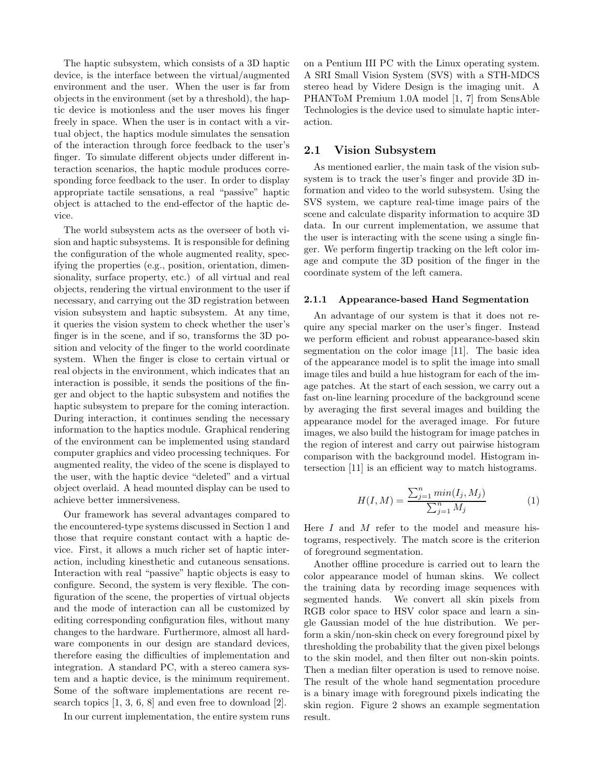The haptic subsystem, which consists of a 3D haptic device, is the interface between the virtual/augmented environment and the user. When the user is far from objects in the environment (set by a threshold), the haptic device is motionless and the user moves his finger freely in space. When the user is in contact with a virtual object, the haptics module simulates the sensation of the interaction through force feedback to the user's finger. To simulate different objects under different interaction scenarios, the haptic module produces corresponding force feedback to the user. In order to display appropriate tactile sensations, a real "passive" haptic object is attached to the end-effector of the haptic device.

The world subsystem acts as the overseer of both vision and haptic subsystems. It is responsible for defining the configuration of the whole augmented reality, specifying the properties (e.g., position, orientation, dimensionality, surface property, etc.) of all virtual and real objects, rendering the virtual environment to the user if necessary, and carrying out the 3D registration between vision subsystem and haptic subsystem. At any time, it queries the vision system to check whether the user's finger is in the scene, and if so, transforms the 3D position and velocity of the finger to the world coordinate system. When the finger is close to certain virtual or real objects in the environment, which indicates that an interaction is possible, it sends the positions of the finger and object to the haptic subsystem and notifies the haptic subsystem to prepare for the coming interaction. During interaction, it continues sending the necessary information to the haptics module. Graphical rendering of the environment can be implemented using standard computer graphics and video processing techniques. For augmented reality, the video of the scene is displayed to the user, with the haptic device "deleted" and a virtual object overlaid. A head mounted display can be used to achieve better immersiveness.

Our framework has several advantages compared to the encountered-type systems discussed in Section 1 and those that require constant contact with a haptic device. First, it allows a much richer set of haptic interaction, including kinesthetic and cutaneous sensations. Interaction with real "passive" haptic objects is easy to configure. Second, the system is very flexible. The configuration of the scene, the properties of virtual objects and the mode of interaction can all be customized by editing corresponding configuration files, without many changes to the hardware. Furthermore, almost all hardware components in our design are standard devices, therefore easing the difficulties of implementation and integration. A standard PC, with a stereo camera system and a haptic device, is the minimum requirement. Some of the software implementations are recent research topics [1, 3, 6, 8] and even free to download [2].

In our current implementation, the entire system runs

on a Pentium III PC with the Linux operating system. A SRI Small Vision System (SVS) with a STH-MDCS stereo head by Videre Design is the imaging unit. A PHANToM Premium 1.0A model [1, 7] from SensAble Technologies is the device used to simulate haptic interaction.

#### 2.1 Vision Subsystem

As mentioned earlier, the main task of the vision subsystem is to track the user's finger and provide 3D information and video to the world subsystem. Using the SVS system, we capture real-time image pairs of the scene and calculate disparity information to acquire 3D data. In our current implementation, we assume that the user is interacting with the scene using a single finger. We perform fingertip tracking on the left color image and compute the 3D position of the finger in the coordinate system of the left camera.

#### 2.1.1 Appearance-based Hand Segmentation

An advantage of our system is that it does not require any special marker on the user's finger. Instead we perform efficient and robust appearance-based skin segmentation on the color image [11]. The basic idea of the appearance model is to split the image into small image tiles and build a hue histogram for each of the image patches. At the start of each session, we carry out a fast on-line learning procedure of the background scene by averaging the first several images and building the appearance model for the averaged image. For future images, we also build the histogram for image patches in the region of interest and carry out pairwise histogram comparison with the background model. Histogram intersection [11] is an efficient way to match histograms.

$$
H(I, M) = \frac{\sum_{j=1}^{n} \min(I_j, M_j)}{\sum_{j=1}^{n} M_j}
$$
 (1)

Here  $I$  and  $M$  refer to the model and measure histograms, respectively. The match score is the criterion of foreground segmentation.

Another offline procedure is carried out to learn the color appearance model of human skins. We collect the training data by recording image sequences with segmented hands. We convert all skin pixels from RGB color space to HSV color space and learn a single Gaussian model of the hue distribution. We perform a skin/non-skin check on every foreground pixel by thresholding the probability that the given pixel belongs to the skin model, and then filter out non-skin points. Then a median filter operation is used to remove noise. The result of the whole hand segmentation procedure is a binary image with foreground pixels indicating the skin region. Figure 2 shows an example segmentation result.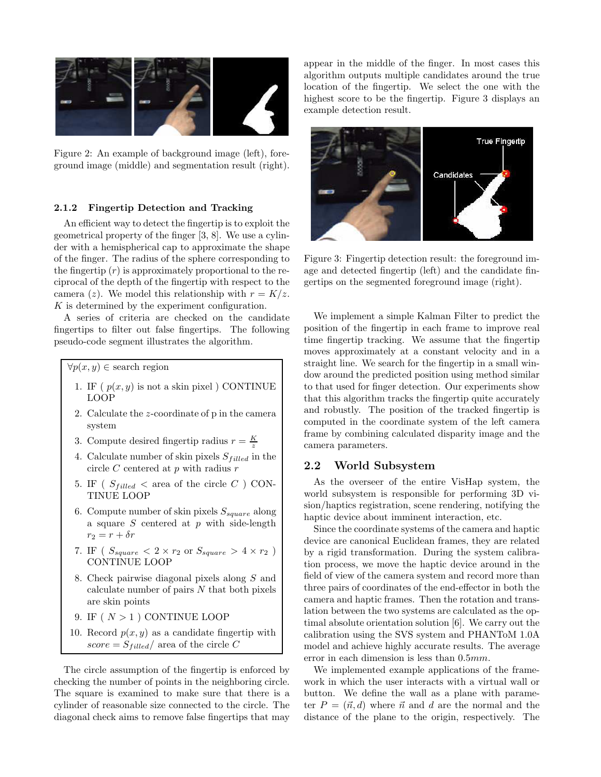

Figure 2: An example of background image (left), foreground image (middle) and segmentation result (right).

#### 2.1.2 Fingertip Detection and Tracking

An efficient way to detect the fingertip is to exploit the geometrical property of the finger [3, 8]. We use a cylinder with a hemispherical cap to approximate the shape of the finger. The radius of the sphere corresponding to the fingertip  $(r)$  is approximately proportional to the reciprocal of the depth of the fingertip with respect to the camera (z). We model this relationship with  $r = K/z$ . K is determined by the experiment configuration.

A series of criteria are checked on the candidate fingertips to filter out false fingertips. The following pseudo-code segment illustrates the algorithm.

 $\forall p(x, y) \in \text{search region}$ 

- 1. IF ( $p(x, y)$  is not a skin pixel) CONTINUE LOOP
- 2. Calculate the z-coordinate of p in the camera system
- 3. Compute desired fingertip radius  $r = \frac{K}{z}$
- 4. Calculate number of skin pixels  $S_{filled}$  in the circle  $C$  centered at  $p$  with radius  $r$
- 5. IF ( $S_{filled}$  < area of the circle C ) CON-TINUE LOOP
- 6. Compute number of skin pixels  $S_{square}$  along a square  $S$  centered at  $p$  with side-length  $r_2 = r + \delta r$
- 7. IF (  $S_{square} < 2 \times r_2$  or  $S_{square} > 4 \times r_2$  ) CONTINUE LOOP
- 8. Check pairwise diagonal pixels along S and calculate number of pairs N that both pixels are skin points
- 9. IF  $(N > 1)$  CONTINUE LOOP
- 10. Record  $p(x, y)$  as a candidate fingertip with  $score = S_{filled}/$  area of the circle C

The circle assumption of the fingertip is enforced by checking the number of points in the neighboring circle. The square is examined to make sure that there is a cylinder of reasonable size connected to the circle. The diagonal check aims to remove false fingertips that may

appear in the middle of the finger. In most cases this algorithm outputs multiple candidates around the true location of the fingertip. We select the one with the highest score to be the fingertip. Figure 3 displays an example detection result.



Figure 3: Fingertip detection result: the foreground image and detected fingertip (left) and the candidate fingertips on the segmented foreground image (right).

We implement a simple Kalman Filter to predict the position of the fingertip in each frame to improve real time fingertip tracking. We assume that the fingertip moves approximately at a constant velocity and in a straight line. We search for the fingertip in a small window around the predicted position using method similar to that used for finger detection. Our experiments show that this algorithm tracks the fingertip quite accurately and robustly. The position of the tracked fingertip is computed in the coordinate system of the left camera frame by combining calculated disparity image and the camera parameters.

#### 2.2 World Subsystem

As the overseer of the entire VisHap system, the world subsystem is responsible for performing 3D vision/haptics registration, scene rendering, notifying the haptic device about imminent interaction, etc.

Since the coordinate systems of the camera and haptic device are canonical Euclidean frames, they are related by a rigid transformation. During the system calibration process, we move the haptic device around in the field of view of the camera system and record more than three pairs of coordinates of the end-effector in both the camera and haptic frames. Then the rotation and translation between the two systems are calculated as the optimal absolute orientation solution [6]. We carry out the calibration using the SVS system and PHANToM 1.0A model and achieve highly accurate results. The average error in each dimension is less than 0.5mm.

We implemented example applications of the framework in which the user interacts with a virtual wall or button. We define the wall as a plane with parameter  $P = (\vec{n}, d)$  where  $\vec{n}$  and d are the normal and the distance of the plane to the origin, respectively. The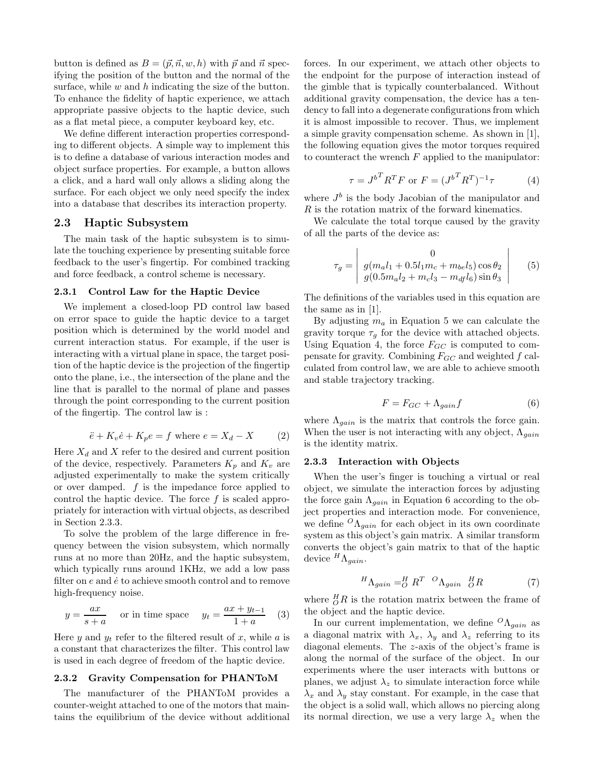button is defined as  $B = (\vec{p}, \vec{n}, w, h)$  with  $\vec{p}$  and  $\vec{n}$  specifying the position of the button and the normal of the surface, while  $w$  and  $h$  indicating the size of the button. To enhance the fidelity of haptic experience, we attach appropriate passive objects to the haptic device, such as a flat metal piece, a computer keyboard key, etc.

We define different interaction properties corresponding to different objects. A simple way to implement this is to define a database of various interaction modes and object surface properties. For example, a button allows a click, and a hard wall only allows a sliding along the surface. For each object we only need specify the index into a database that describes its interaction property.

#### 2.3 Haptic Subsystem

The main task of the haptic subsystem is to simulate the touching experience by presenting suitable force feedback to the user's fingertip. For combined tracking and force feedback, a control scheme is necessary.

#### 2.3.1 Control Law for the Haptic Device

We implement a closed-loop PD control law based on error space to guide the haptic device to a target position which is determined by the world model and current interaction status. For example, if the user is interacting with a virtual plane in space, the target position of the haptic device is the projection of the fingertip onto the plane, i.e., the intersection of the plane and the line that is parallel to the normal of plane and passes through the point corresponding to the current position of the fingertip. The control law is :

$$
\ddot{e} + K_v \dot{e} + K_p e = f \text{ where } e = X_d - X \tag{2}
$$

Here  $X_d$  and X refer to the desired and current position of the device, respectively. Parameters  $K_p$  and  $K_v$  are adjusted experimentally to make the system critically or over damped.  $f$  is the impedance force applied to control the haptic device. The force f is scaled appropriately for interaction with virtual objects, as described in Section 2.3.3.

To solve the problem of the large difference in frequency between the vision subsystem, which normally runs at no more than 20Hz, and the haptic subsystem, which typically runs around 1KHz, we add a low pass filter on  $e$  and  $\dot{e}$  to achieve smooth control and to remove high-frequency noise.

$$
y = \frac{ax}{s+a} \quad \text{or in time space} \quad y_t = \frac{ax + y_{t-1}}{1+a} \quad (3)
$$

Here y and  $y_t$  refer to the filtered result of x, while a is a constant that characterizes the filter. This control law is used in each degree of freedom of the haptic device.

#### 2.3.2 Gravity Compensation for PHANToM

The manufacturer of the PHANToM provides a counter-weight attached to one of the motors that maintains the equilibrium of the device without additional

forces. In our experiment, we attach other objects to the endpoint for the purpose of interaction instead of the gimble that is typically counterbalanced. Without additional gravity compensation, the device has a tendency to fall into a degenerate configurations from which it is almost impossible to recover. Thus, we implement a simple gravity compensation scheme. As shown in [1], the following equation gives the motor torques required to counteract the wrench  $F$  applied to the manipulator:

$$
\tau = J^{b^T} R^T F \text{ or } F = (J^{b^T} R^T)^{-1} \tau \tag{4}
$$

where  $J^b$  is the body Jacobian of the manipulator and  $R$  is the rotation matrix of the forward kinematics.

We calculate the total torque caused by the gravity of all the parts of the device as:

$$
\tau_g = \begin{vmatrix}\n0 \\
g(m_a l_1 + 0.5 l_1 m_c + m_{be} l_5) \cos \theta_2 \\
g(0.5 m_a l_2 + m_c l_3 - m_{df} l_6) \sin \theta_3\n\end{vmatrix}
$$
\n(5)

The definitions of the variables used in this equation are the same as in [1].

By adjusting  $m_a$  in Equation 5 we can calculate the gravity torque  $\tau_q$  for the device with attached objects. Using Equation 4, the force  $F_{GC}$  is computed to compensate for gravity. Combining  $F_{GC}$  and weighted  $f$  calculated from control law, we are able to achieve smooth and stable trajectory tracking.

$$
F = F_{GC} + \Lambda_{gain} f \tag{6}
$$

where  $\Lambda_{gain}$  is the matrix that controls the force gain. When the user is not interacting with any object,  $\Lambda_{gain}$ is the identity matrix.

#### 2.3.3 Interaction with Objects

When the user's finger is touching a virtual or real object, we simulate the interaction forces by adjusting the force gain  $\Lambda_{gain}$  in Equation 6 according to the object properties and interaction mode. For convenience, we define  ${}^{O}\Lambda_{gain}$  for each object in its own coordinate system as this object's gain matrix. A similar transform converts the object's gain matrix to that of the haptic device  ${}^{H}\Lambda_{gain}$ .

$$
{}^{H}\Lambda_{gain} = {}^{H}_{O} R^{T} {}^{O}\Lambda_{gain} {}^{H}_{O} R \tag{7}
$$

where  $^H_0R$  is the rotation matrix between the frame of the object and the haptic device.

In our current implementation, we define  ${}^{O}\Lambda_{gain}$  as a diagonal matrix with  $\lambda_x$ ,  $\lambda_y$  and  $\lambda_z$  referring to its diagonal elements. The z-axis of the object's frame is along the normal of the surface of the object. In our experiments where the user interacts with buttons or planes, we adjust  $\lambda_z$  to simulate interaction force while  $\lambda_x$  and  $\lambda_y$  stay constant. For example, in the case that the object is a solid wall, which allows no piercing along its normal direction, we use a very large  $\lambda_z$  when the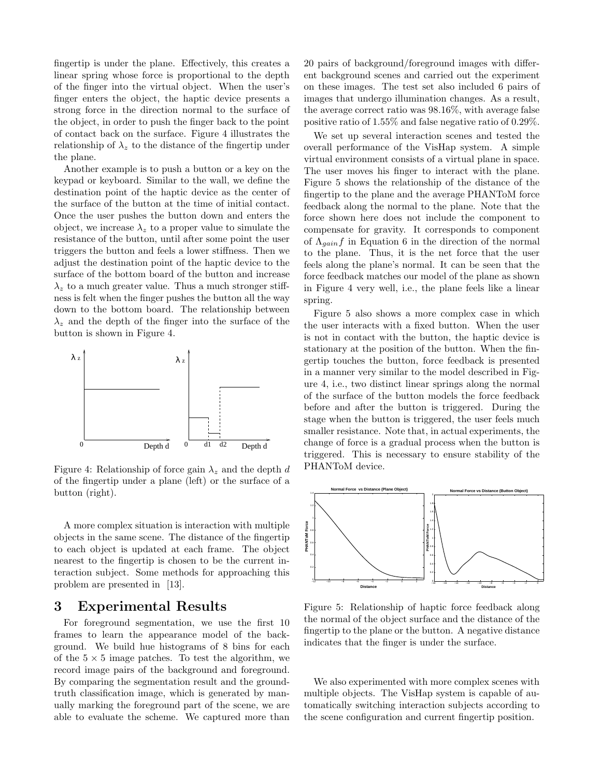fingertip is under the plane. Effectively, this creates a linear spring whose force is proportional to the depth of the finger into the virtual object. When the user's finger enters the object, the haptic device presents a strong force in the direction normal to the surface of the object, in order to push the finger back to the point of contact back on the surface. Figure 4 illustrates the relationship of  $\lambda_z$  to the distance of the fingertip under the plane.

Another example is to push a button or a key on the keypad or keyboard. Similar to the wall, we define the destination point of the haptic device as the center of the surface of the button at the time of initial contact. Once the user pushes the button down and enters the object, we increase  $\lambda_z$  to a proper value to simulate the resistance of the button, until after some point the user triggers the button and feels a lower stiffness. Then we adjust the destination point of the haptic device to the surface of the bottom board of the button and increase  $\lambda_z$  to a much greater value. Thus a much stronger stiffness is felt when the finger pushes the button all the way down to the bottom board. The relationship between  $\lambda_z$  and the depth of the finger into the surface of the button is shown in Figure 4.



Figure 4: Relationship of force gain  $\lambda_z$  and the depth d of the fingertip under a plane (left) or the surface of a button (right).

A more complex situation is interaction with multiple objects in the same scene. The distance of the fingertip to each object is updated at each frame. The object nearest to the fingertip is chosen to be the current interaction subject. Some methods for approaching this problem are presented in [13].

## 3 Experimental Results

For foreground segmentation, we use the first 10 frames to learn the appearance model of the background. We build hue histograms of 8 bins for each of the  $5 \times 5$  image patches. To test the algorithm, we record image pairs of the background and foreground. By comparing the segmentation result and the groundtruth classification image, which is generated by manually marking the foreground part of the scene, we are able to evaluate the scheme. We captured more than

20 pairs of background/foreground images with different background scenes and carried out the experiment on these images. The test set also included 6 pairs of images that undergo illumination changes. As a result, the average correct ratio was 98.16%, with average false positive ratio of 1.55% and false negative ratio of 0.29%.

We set up several interaction scenes and tested the overall performance of the VisHap system. A simple virtual environment consists of a virtual plane in space. The user moves his finger to interact with the plane. Figure 5 shows the relationship of the distance of the fingertip to the plane and the average PHANToM force feedback along the normal to the plane. Note that the force shown here does not include the component to compensate for gravity. It corresponds to component of  $\Lambda_{gain}f$  in Equation 6 in the direction of the normal to the plane. Thus, it is the net force that the user feels along the plane's normal. It can be seen that the force feedback matches our model of the plane as shown in Figure 4 very well, i.e., the plane feels like a linear spring.

Figure 5 also shows a more complex case in which the user interacts with a fixed button. When the user is not in contact with the button, the haptic device is stationary at the position of the button. When the fingertip touches the button, force feedback is presented in a manner very similar to the model described in Figure 4, i.e., two distinct linear springs along the normal of the surface of the button models the force feedback before and after the button is triggered. During the stage when the button is triggered, the user feels much smaller resistance. Note that, in actual experiments, the change of force is a gradual process when the button is triggered. This is necessary to ensure stability of the PHANToM device.



Figure 5: Relationship of haptic force feedback along the normal of the object surface and the distance of the fingertip to the plane or the button. A negative distance indicates that the finger is under the surface.

We also experimented with more complex scenes with multiple objects. The VisHap system is capable of automatically switching interaction subjects according to the scene configuration and current fingertip position.